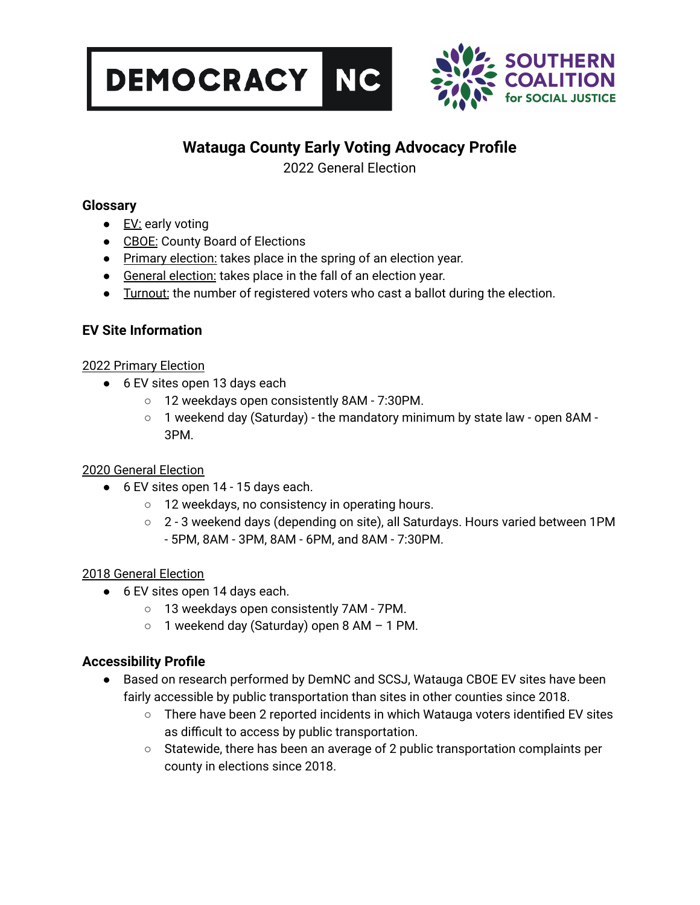



# **Watauga County Early Voting Advocacy Profile**

2022 General Election

# **Glossary**

- $\bullet$  **EV:** early voting
- CBOE: County Board of Elections
- Primary election: takes place in the spring of an election year.
- General election: takes place in the fall of an election year.
- Turnout: the number of registered voters who cast a ballot during the election.

# **EV Site Information**

# 2022 Primary Election

- 6 EV sites open 13 days each
	- 12 weekdays open consistently 8AM 7:30PM.
	- $\circ$  1 weekend day (Saturday) the mandatory minimum by state law open 8AM -3PM.

# 2020 General Election

- 6 EV sites open 14 15 days each.
	- 12 weekdays, no consistency in operating hours.
	- 2 3 weekend days (depending on site), all Saturdays. Hours varied between 1PM - 5PM, 8AM - 3PM, 8AM - 6PM, and 8AM - 7:30PM.

# 2018 General Election

- 6 EV sites open 14 days each.
	- 13 weekdays open consistently 7AM 7PM.
	- $\circ$  1 weekend day (Saturday) open 8 AM 1 PM.

# **Accessibility Profile**

- Based on research performed by DemNC and SCSJ, Watauga CBOE EV sites have been fairly accessible by public transportation than sites in other counties since 2018.
	- $\circ$  There have been 2 reported incidents in which Watauga voters identified EV sites as difficult to access by public transportation.
	- $\circ$  Statewide, there has been an average of 2 public transportation complaints per county in elections since 2018.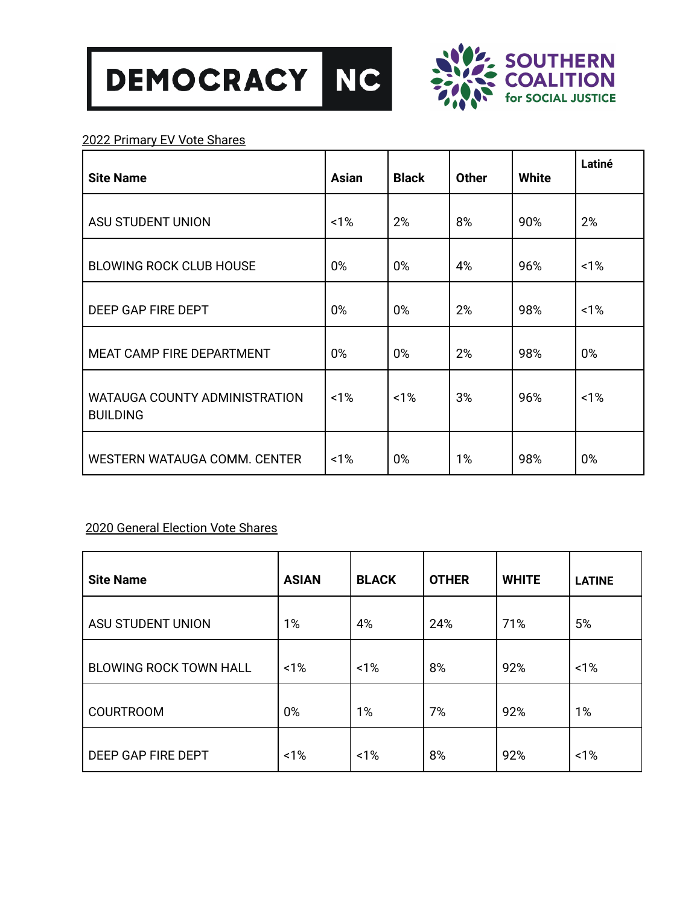



### 2022 Primary EV Vote Shares

| <b>Site Name</b>                                 | <b>Asian</b> | <b>Black</b> | <b>Other</b> | <b>White</b> | Latiné |
|--------------------------------------------------|--------------|--------------|--------------|--------------|--------|
| <b>ASU STUDENT UNION</b>                         | 1%           | 2%           | 8%           | 90%          | 2%     |
| <b>BLOWING ROCK CLUB HOUSE</b>                   | 0%           | 0%           | 4%           | 96%          | 1%     |
| DEEP GAP FIRE DEPT                               | 0%           | 0%           | 2%           | 98%          | 1%     |
| MEAT CAMP FIRE DEPARTMENT                        | 0%           | 0%           | 2%           | 98%          | 0%     |
| WATAUGA COUNTY ADMINISTRATION<br><b>BUILDING</b> | 1%           | 1%           | 3%           | 96%          | 1%     |
| WESTERN WATAUGA COMM. CENTER                     | 1%           | $0\%$        | 1%           | 98%          | 0%     |

#### 2020 General Election Vote Shares

| <b>Site Name</b>              | <b>ASIAN</b> | <b>BLACK</b> | <b>OTHER</b> | <b>WHITE</b> | <b>LATINE</b> |
|-------------------------------|--------------|--------------|--------------|--------------|---------------|
| ASU STUDENT UNION             | 1%           | 4%           | 24%          | 71%          | 5%            |
| <b>BLOWING ROCK TOWN HALL</b> | 1%           | $1\%$        | 8%           | 92%          | 1%            |
| <b>COURTROOM</b>              | 0%           | 1%           | 7%           | 92%          | 1%            |
| DEEP GAP FIRE DEPT            | 1%           | 1%           | 8%           | 92%          | 1%            |